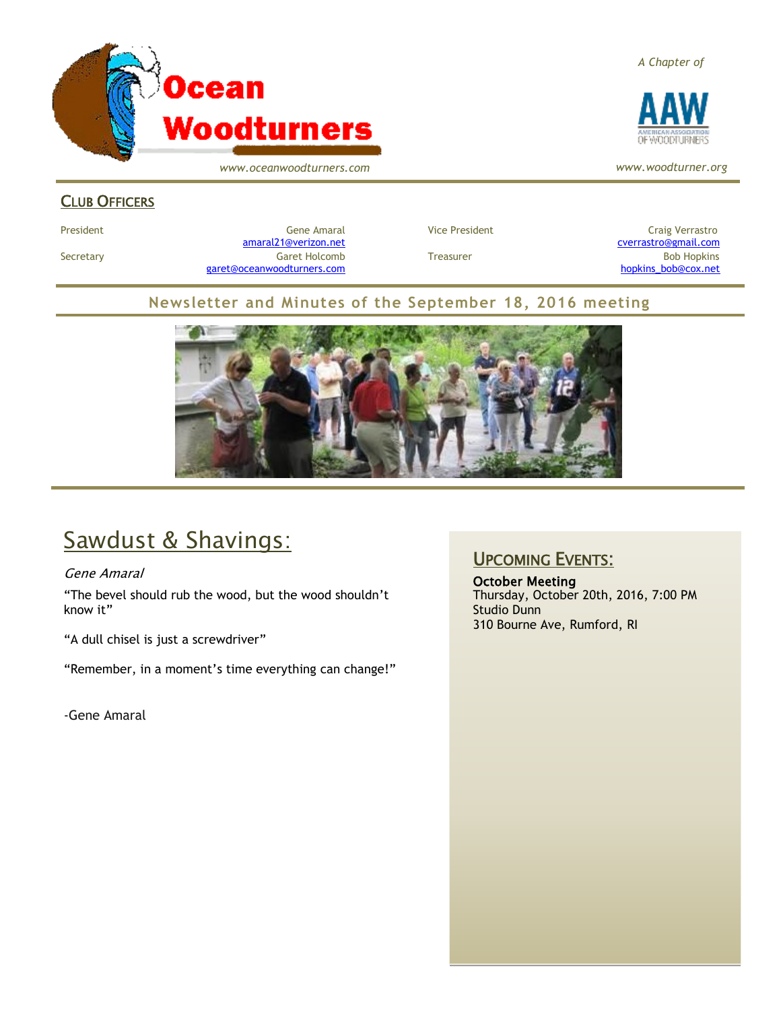

*www.oceanwoodturners.com*

#### *A Chapter of*



*www.woodturner.org*

#### CLUB OFFICERS

President Craig Verrastro Craig Verrastro Craig Verrastro Craig Verrastro Craig Verrastro Craig Verrastro amaral 21@verizon.net [amaral21@verizon.net](mailto:amaral21@verizon.net) Secretary Garet Holcomb Treasurer Bob Hopkins Bob Hopkins (Bob Hopkins Garet Holcomb [garet@oceanwoodturners.com](mailto:garet@oceanwoodturners.com) and the state of the state of the state of the state of the state of the state of the state of the state of the state of the state of the state of the state of the state of the state of the state

#### **Newsletter and Minutes of the September 18, 2016 meeting**



## Sawdust & Shavings:

#### Gene Amaral

"The bevel should rub the wood, but the wood shouldn't know it"

"A dull chisel is just a screwdriver"

"Remember, in a moment's time everything can change!"

-Gene Amaral

#### UPCOMING EVENTS:

October Meeting Thursday, October 20th, 2016, 7:00 PM Studio Dunn 310 Bourne Ave, Rumford, RI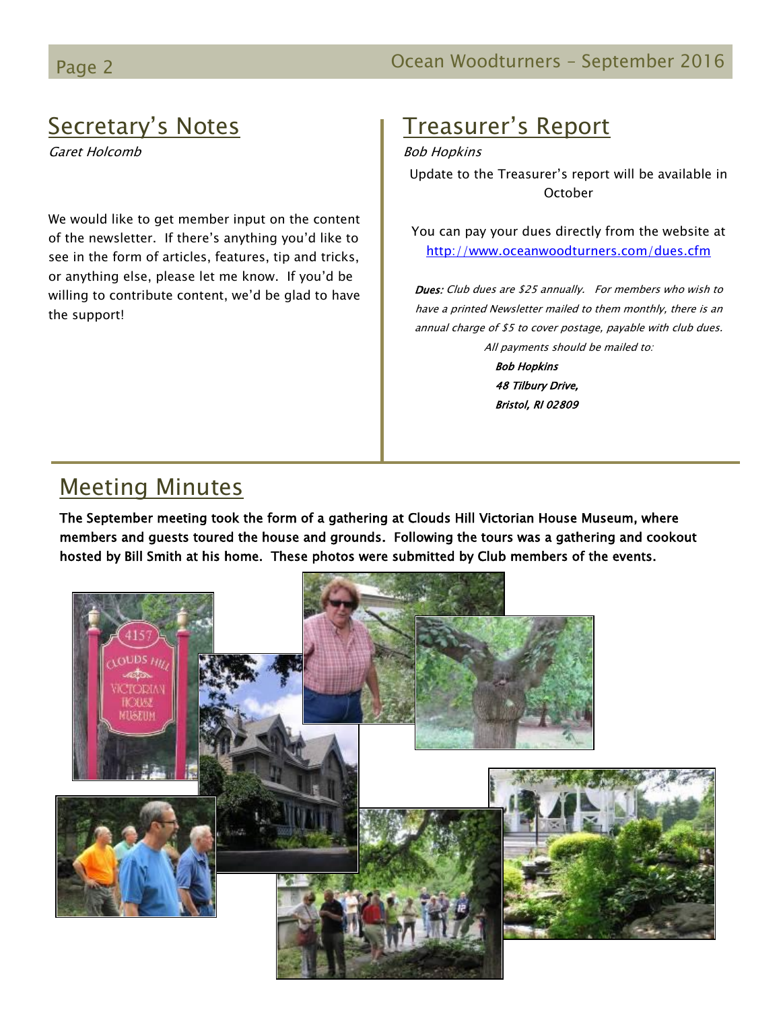## Secretary's Notes

Garet Holcomb

We would like to get member input on the content of the newsletter. If there's anything you'd like to see in the form of articles, features, tip and tricks, or anything else, please let me know. If you'd be willing to contribute content, we'd be glad to have the support!

## Treasurer's Report

Bob Hopkins

Update to the Treasurer's report will be available in **October** 

You can pay your dues directly from the website at <http://www.oceanwoodturners.com/dues.cfm>

Dues: Club dues are \$25 annually. For members who wish to have a printed Newsletter mailed to them monthly, there is an annual charge of \$5 to cover postage, payable with club dues. All payments should be mailed to:

> Bob Hopkins 48 Tilbury Drive, Bristol, RI 02809

### Meeting Minutes

 The September meeting took the form of a gathering at Clouds Hill Victorian House Museum, where members and guests toured the house and grounds. Following the tours was a gathering and cookout hosted by Bill Smith at his home. These photos were submitted by Club members of the events.

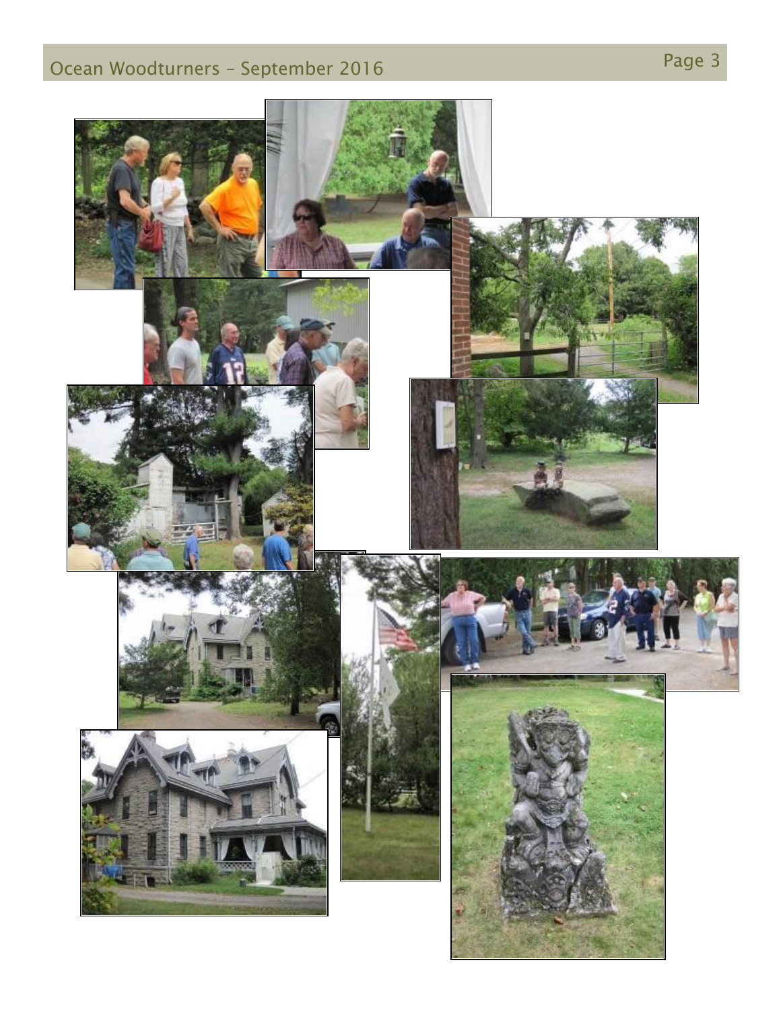# Page 3 Ocean Woodturners – September <sup>2016</sup>

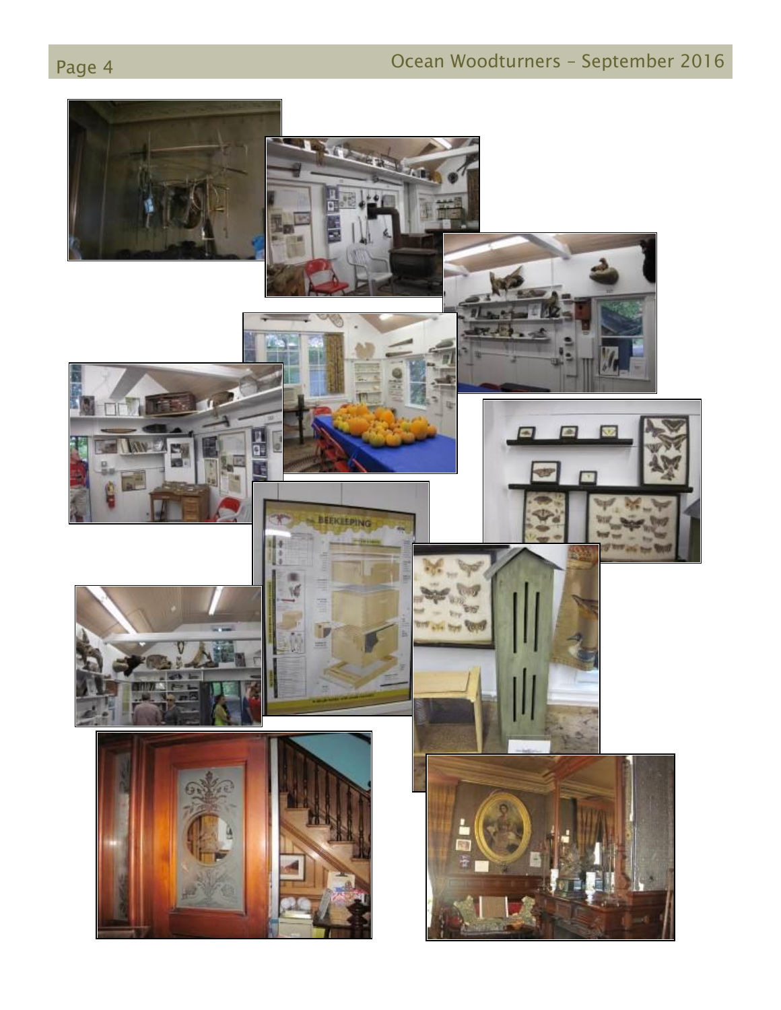# Page 4 **Ocean Woodturners – September 2016**

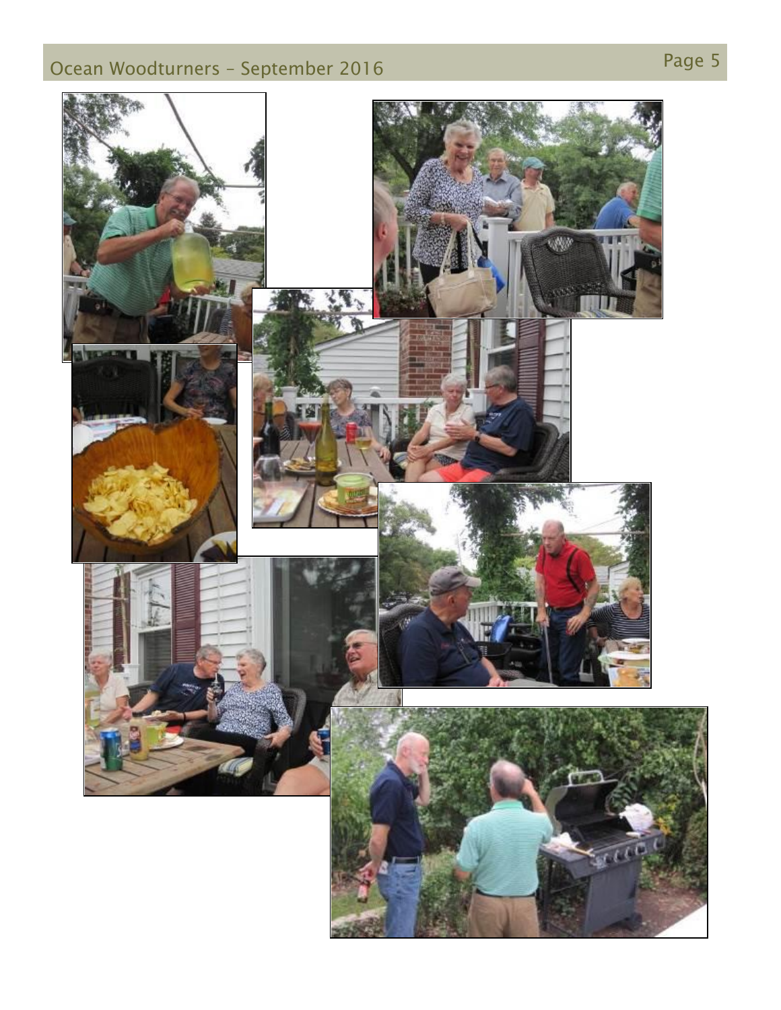# Page 5 Ocean Woodturners – September <sup>2016</sup>